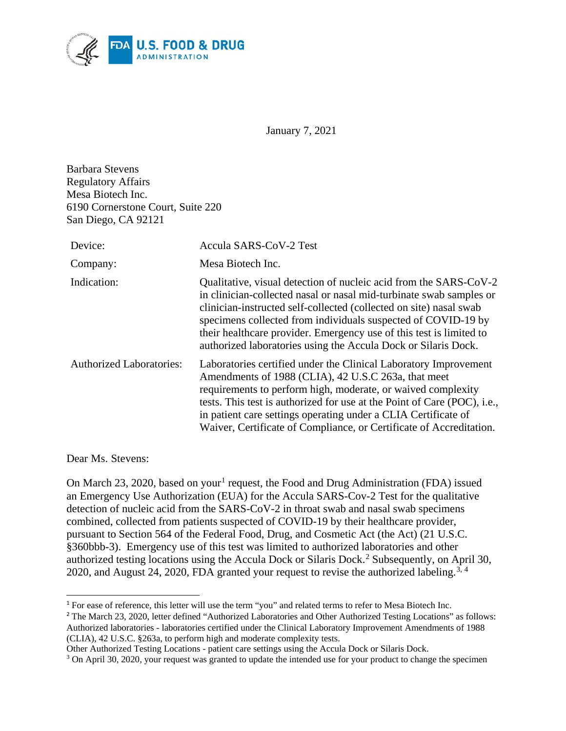

January 7, 2021

Barbara Stevens Regulatory Affairs Mesa Biotech Inc. 6190 Cornerstone Court, Suite 220 San Diego, CA 92121

| Device:                         | Accula SARS-CoV-2 Test                                                                                                                                                                                                                                                                                                                                                                                                   |
|---------------------------------|--------------------------------------------------------------------------------------------------------------------------------------------------------------------------------------------------------------------------------------------------------------------------------------------------------------------------------------------------------------------------------------------------------------------------|
| Company:                        | Mesa Biotech Inc.                                                                                                                                                                                                                                                                                                                                                                                                        |
| Indication:                     | Qualitative, visual detection of nucleic acid from the SARS-CoV-2<br>in clinician-collected nasal or nasal mid-turbinate swab samples or<br>clinician-instructed self-collected (collected on site) nasal swab<br>specimens collected from individuals suspected of COVID-19 by<br>their healthcare provider. Emergency use of this test is limited to<br>authorized laboratories using the Accula Dock or Silaris Dock. |
| <b>Authorized Laboratories:</b> | Laboratories certified under the Clinical Laboratory Improvement<br>Amendments of 1988 (CLIA), 42 U.S.C 263a, that meet<br>requirements to perform high, moderate, or waived complexity<br>tests. This test is authorized for use at the Point of Care (POC), <i>i.e.</i> ,<br>in patient care settings operating under a CLIA Certificate of<br>Waiver, Certificate of Compliance, or Certificate of Accreditation.     |

<span id="page-0-3"></span>Dear Ms. Stevens:

 $\overline{a}$ 

On March 23, 2020, based on your<sup>[1](#page-0-0)</sup> request, the Food and Drug Administration (FDA) issued an Emergency Use Authorization (EUA) for the Accula SARS-Cov-2 Test for the qualitative detection of nucleic acid from the SARS-CoV-2 in throat swab and nasal swab specimens combined, collected from patients suspected of COVID-19 by their healthcare provider, pursuant to Section 564 of the Federal Food, Drug, and Cosmetic Act (the Act) (21 U.S.C. §360bbb-3). Emergency use of this test was limited to authorized laboratories and other authorized testing locations using the Accula Dock or Silaris Dock.<sup>[2](#page-0-1)</sup> Subsequently, on April 30, 2020, and August 24, 2020, FDA granted your request to revise the authorized labeling.<sup>[3](#page-0-2), [4](#page-0-3)</sup>

<span id="page-0-0"></span><sup>&</sup>lt;sup>1</sup> For ease of reference, this letter will use the term "you" and related terms to refer to Mesa Biotech Inc.

<span id="page-0-1"></span><sup>&</sup>lt;sup>2</sup> The March 23, 2020, letter defined "Authorized Laboratories and Other Authorized Testing Locations" as follows: Authorized laboratories - laboratories certified under the Clinical Laboratory Improvement Amendments of 1988 (CLIA), 42 U.S.C. §263a, to perform high and moderate complexity tests.

Other Authorized Testing Locations - patient care settings using the Accula Dock or Silaris Dock.

<span id="page-0-2"></span><sup>&</sup>lt;sup>3</sup> On April 30, 2020, your request was granted to update the intended use for your product to change the specimen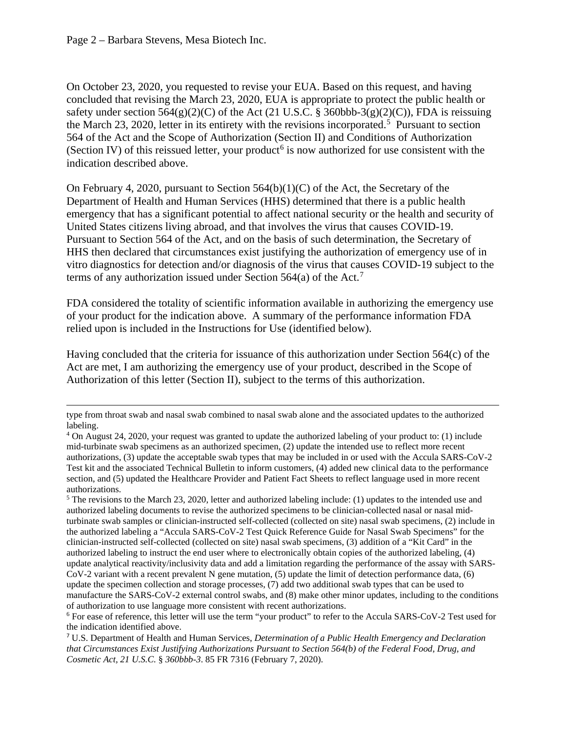$\overline{a}$ 

On October 23, 2020, you requested to revise your EUA. Based on this request, and having concluded that revising the March 23, 2020, EUA is appropriate to protect the public health or safety under section  $564(g)(2)(C)$  of the Act (21 U.S.C. § 360bbb-3(g)(2)(C)), FDA is reissuing the March 23, 2020, letter in its entirety with the revisions incorporated.<sup>[5](#page-1-0)</sup> Pursuant to section 564 of the Act and the Scope of Authorization (Section II) and Conditions of Authorization (Section IV) of this reissued letter, your product<sup>[6](#page-1-1)</sup> is now authorized for use consistent with the indication described above.

On February 4, 2020, pursuant to Section  $564(b)(1)(C)$  of the Act, the Secretary of the Department of Health and Human Services (HHS) determined that there is a public health emergency that has a significant potential to affect national security or the health and security of United States citizens living abroad, and that involves the virus that causes COVID-19. Pursuant to Section 564 of the Act, and on the basis of such determination, the Secretary of HHS then declared that circumstances exist justifying the authorization of emergency use of in vitro diagnostics for detection and/or diagnosis of the virus that causes COVID-19 subject to the terms of any authorization issued under Section  $564(a)$  of the Act.<sup>[7](#page-1-2)</sup>

FDA considered the totality of scientific information available in authorizing the emergency use of your product for the indication above. A summary of the performance information FDA relied upon is included in the Instructions for Use (identified below).

Having concluded that the criteria for issuance of this authorization under Section 564(c) of the Act are met, I am authorizing the emergency use of your product, described in the Scope of Authorization of this letter (Section II), subject to the terms of this authorization.

type from throat swab and nasal swab combined to nasal swab alone and the associated updates to the authorized labeling.

<sup>4</sup> On August 24, 2020, your request was granted to update the authorized labeling of your product to: (1) include mid-turbinate swab specimens as an authorized specimen, (2) update the intended use to reflect more recent authorizations, (3) update the acceptable swab types that may be included in or used with the Accula SARS-CoV-2 Test kit and the associated Technical Bulletin to inform customers, (4) added new clinical data to the performance section, and (5) updated the Healthcare Provider and Patient Fact Sheets to reflect language used in more recent authorizations.

<span id="page-1-0"></span> $5$  The revisions to the March 23, 2020, letter and authorized labeling include: (1) updates to the intended use and authorized labeling documents to revise the authorized specimens to be clinician-collected nasal or nasal midturbinate swab samples or clinician-instructed self-collected (collected on site) nasal swab specimens, (2) include in the authorized labeling a "Accula SARS-CoV-2 Test Quick Reference Guide for Nasal Swab Specimens" for the clinician-instructed self-collected (collected on site) nasal swab specimens, (3) addition of a "Kit Card" in the authorized labeling to instruct the end user where to electronically obtain copies of the authorized labeling, (4) update analytical reactivity/inclusivity data and add a limitation regarding the performance of the assay with SARS-CoV-2 variant with a recent prevalent N gene mutation, (5) update the limit of detection performance data, (6) update the specimen collection and storage processes, (7) add two additional swab types that can be used to manufacture the SARS-CoV-2 external control swabs, and (8) make other minor updates, including to the conditions of authorization to use language more consistent with recent authorizations.

<span id="page-1-1"></span><sup>6</sup> For ease of reference, this letter will use the term "your product" to refer to the Accula SARS-CoV-2 Test used for the indication identified above.

<span id="page-1-2"></span><sup>7</sup> U.S. Department of Health and Human Services, *Determination of a Public Health Emergency and Declaration that Circumstances Exist Justifying Authorizations Pursuant to Section 564(b) of the Federal Food, Drug, and Cosmetic Act, 21 U.S.C.* § *360bbb-3*. 85 FR 7316 (February 7, 2020).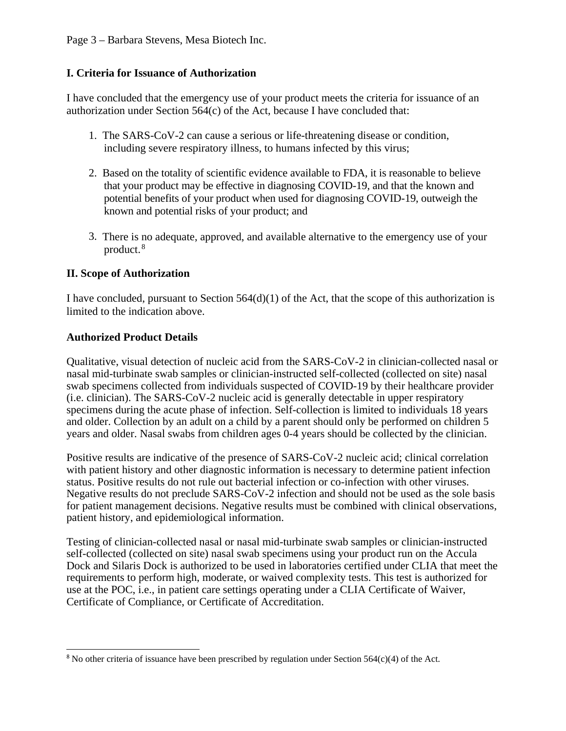Page 3 – Barbara Stevens, Mesa Biotech Inc.

#### **I. Criteria for Issuance of Authorization**

I have concluded that the emergency use of your product meets the criteria for issuance of an authorization under Section 564(c) of the Act, because I have concluded that:

- 1. The SARS-CoV-2 can cause a serious or life-threatening disease or condition, including severe respiratory illness, to humans infected by this virus;
- 2. Based on the totality of scientific evidence available to FDA, it is reasonable to believe that your product may be effective in diagnosing COVID-19, and that the known and potential benefits of your product when used for diagnosing COVID-19, outweigh the known and potential risks of your product; and
- 3. There is no adequate, approved, and available alternative to the emergency use of your product. [8](#page-2-0)

#### **II. Scope of Authorization**

I have concluded, pursuant to Section  $564(d)(1)$  of the Act, that the scope of this authorization is limited to the indication above.

#### **Authorized Product Details**

Qualitative, visual detection of nucleic acid from the SARS-CoV-2 in clinician-collected nasal or nasal mid-turbinate swab samples or clinician-instructed self-collected (collected on site) nasal swab specimens collected from individuals suspected of COVID-19 by their healthcare provider (i.e. clinician). The SARS-CoV-2 nucleic acid is generally detectable in upper respiratory specimens during the acute phase of infection. Self-collection is limited to individuals 18 years and older. Collection by an adult on a child by a parent should only be performed on children 5 years and older. Nasal swabs from children ages 0-4 years should be collected by the clinician.

Positive results are indicative of the presence of SARS-CoV-2 nucleic acid; clinical correlation with patient history and other diagnostic information is necessary to determine patient infection status. Positive results do not rule out bacterial infection or co-infection with other viruses. Negative results do not preclude SARS-CoV-2 infection and should not be used as the sole basis for patient management decisions. Negative results must be combined with clinical observations, patient history, and epidemiological information.

Testing of clinician-collected nasal or nasal mid-turbinate swab samples or clinician-instructed self-collected (collected on site) nasal swab specimens using your product run on the Accula Dock and Silaris Dock is authorized to be used in laboratories certified under CLIA that meet the requirements to perform high, moderate, or waived complexity tests. This test is authorized for use at the POC, i.e., in patient care settings operating under a CLIA Certificate of Waiver, Certificate of Compliance, or Certificate of Accreditation.

<span id="page-2-0"></span> $\overline{a}$ <sup>8</sup> No other criteria of issuance have been prescribed by regulation under Section 564(c)(4) of the Act.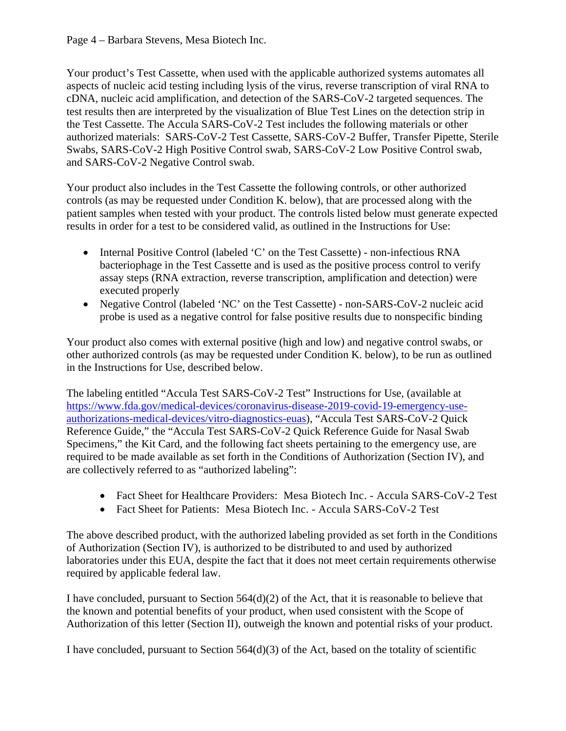Page 4 – Barbara Stevens, Mesa Biotech Inc.

Your product's Test Cassette, when used with the applicable authorized systems automates all aspects of nucleic acid testing including lysis of the virus, reverse transcription of viral RNA to cDNA, nucleic acid amplification, and detection of the SARS-CoV-2 targeted sequences. The test results then are interpreted by the visualization of Blue Test Lines on the detection strip in the Test Cassette. The Accula SARS-CoV-2 Test includes the following materials or other authorized materials: SARS-CoV-2 Test Cassette, SARS-CoV-2 Buffer, Transfer Pipette, Sterile Swabs, SARS-CoV-2 High Positive Control swab, SARS-CoV-2 Low Positive Control swab, and SARS-CoV-2 Negative Control swab.

Your product also includes in the Test Cassette the following controls, or other authorized controls (as may be requested under Condition K. below), that are processed along with the patient samples when tested with your product. The controls listed below must generate expected results in order for a test to be considered valid, as outlined in the Instructions for Use:

- Internal Positive Control (labeled 'C' on the Test Cassette) non-infectious RNA bacteriophage in the Test Cassette and is used as the positive process control to verify assay steps (RNA extraction, reverse transcription, amplification and detection) were executed properly
- Negative Control (labeled 'NC' on the Test Cassette) non-SARS-CoV-2 nucleic acid probe is used as a negative control for false positive results due to nonspecific binding

Your product also comes with external positive (high and low) and negative control swabs, or other authorized controls (as may be requested under Condition K. below), to be run as outlined in the Instructions for Use, described below.

The labeling entitled "Accula Test SARS-CoV-2 Test" Instructions for Use, (available at [https://www.fda.gov/medical-devices/coronavirus-disease-2019-covid-19-emergency-use](https://www.fda.gov/medical-devices/coronavirus-disease-2019-covid-19-emergency-use-authorizations-medical-devices/vitro-diagnostics-euas)[authorizations-medical-devices/vitro-diagnostics-euas\)](https://www.fda.gov/medical-devices/coronavirus-disease-2019-covid-19-emergency-use-authorizations-medical-devices/vitro-diagnostics-euas), "Accula Test SARS-CoV-2 Quick Reference Guide," the "Accula Test SARS-CoV-2 Quick Reference Guide for Nasal Swab Specimens," the Kit Card, and the following fact sheets pertaining to the emergency use, are required to be made available as set forth in the Conditions of Authorization (Section IV), and are collectively referred to as "authorized labeling":

- Fact Sheet for Healthcare Providers: Mesa Biotech Inc. Accula SARS-CoV-2 Test
- Fact Sheet for Patients: Mesa Biotech Inc. Accula SARS-CoV-2 Test

The above described product, with the authorized labeling provided as set forth in the Conditions of Authorization (Section IV), is authorized to be distributed to and used by authorized laboratories under this EUA, despite the fact that it does not meet certain requirements otherwise required by applicable federal law.

I have concluded, pursuant to Section 564(d)(2) of the Act, that it is reasonable to believe that the known and potential benefits of your product, when used consistent with the Scope of Authorization of this letter (Section II), outweigh the known and potential risks of your product.

I have concluded, pursuant to Section 564(d)(3) of the Act, based on the totality of scientific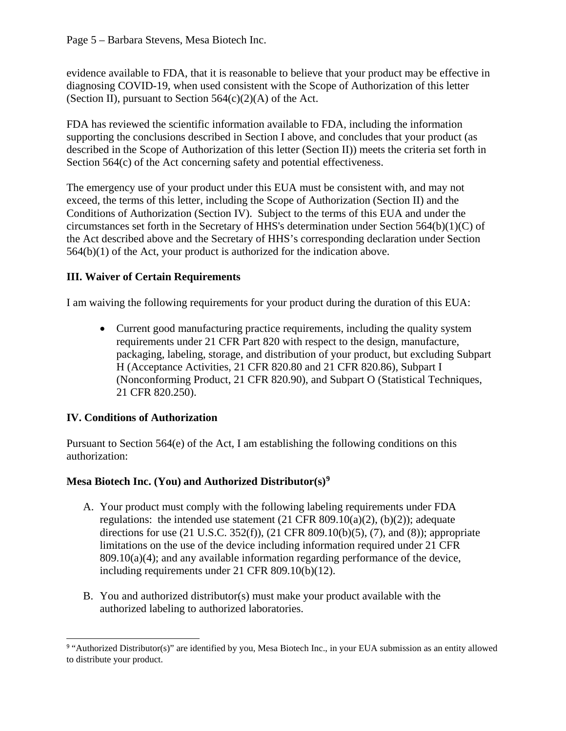evidence available to FDA, that it is reasonable to believe that your product may be effective in diagnosing COVID-19, when used consistent with the Scope of Authorization of this letter (Section II), pursuant to Section  $564(c)(2)(A)$  of the Act.

FDA has reviewed the scientific information available to FDA, including the information supporting the conclusions described in Section I above, and concludes that your product (as described in the Scope of Authorization of this letter (Section II)) meets the criteria set forth in Section 564(c) of the Act concerning safety and potential effectiveness.

The emergency use of your product under this EUA must be consistent with, and may not exceed, the terms of this letter, including the Scope of Authorization (Section II) and the Conditions of Authorization (Section IV). Subject to the terms of this EUA and under the circumstances set forth in the Secretary of HHS's determination under Section 564(b)(1)(C) of the Act described above and the Secretary of HHS's corresponding declaration under Section 564(b)(1) of the Act, your product is authorized for the indication above.

# **III. Waiver of Certain Requirements**

I am waiving the following requirements for your product during the duration of this EUA:

• Current good manufacturing practice requirements, including the quality system requirements under 21 CFR Part 820 with respect to the design, manufacture, packaging, labeling, storage, and distribution of your product, but excluding Subpart H (Acceptance Activities, 21 CFR 820.80 and 21 CFR 820.86), Subpart I (Nonconforming Product, 21 CFR 820.90), and Subpart O (Statistical Techniques, 21 CFR 820.250).

# **IV. Conditions of Authorization**

Pursuant to Section 564(e) of the Act, I am establishing the following conditions on this authorization:

# **Mesa Biotech Inc. (You) and Authorized Distributor(s)[9](#page-4-0)**

- A. Your product must comply with the following labeling requirements under FDA regulations: the intended use statement  $(21 \text{ CFR } 809.10(a)(2)$ ,  $(b)(2))$ ; adequate directions for use (21 U.S.C. 352(f)), (21 CFR 809.10(b)(5), (7), and (8)); appropriate limitations on the use of the device including information required under 21 CFR 809.10(a)(4); and any available information regarding performance of the device, including requirements under 21 CFR 809.10(b)(12).
- B. You and authorized distributor(s) must make your product available with the authorized labeling to authorized laboratories.

<span id="page-4-0"></span> $\overline{a}$ <sup>9</sup> "Authorized Distributor(s)" are identified by you, Mesa Biotech Inc., in your EUA submission as an entity allowed to distribute your product.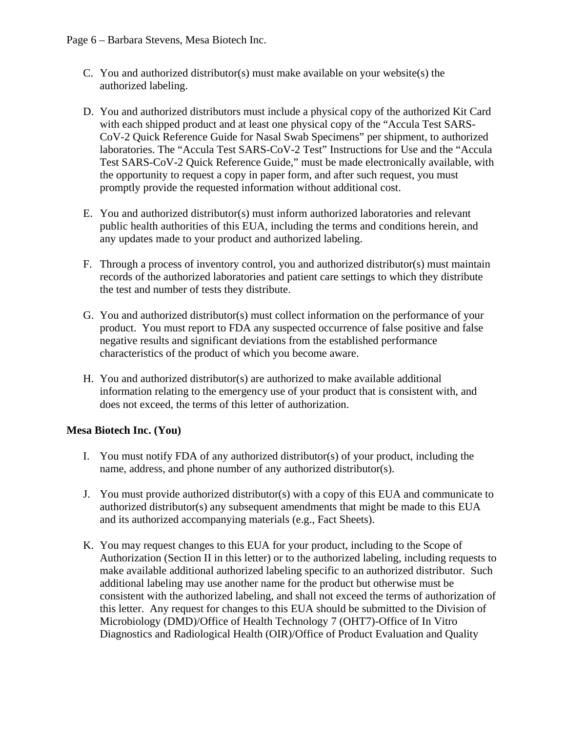Page 6 – Barbara Stevens, Mesa Biotech Inc.

- C. You and authorized distributor(s) must make available on your website(s) the authorized labeling.
- D. You and authorized distributors must include a physical copy of the authorized Kit Card with each shipped product and at least one physical copy of the "Accula Test SARS-CoV-2 Quick Reference Guide for Nasal Swab Specimens" per shipment, to authorized laboratories. The "Accula Test SARS-CoV-2 Test" Instructions for Use and the "Accula Test SARS-CoV-2 Quick Reference Guide," must be made electronically available, with the opportunity to request a copy in paper form, and after such request, you must promptly provide the requested information without additional cost.
- E. You and authorized distributor(s) must inform authorized laboratories and relevant public health authorities of this EUA, including the terms and conditions herein, and any updates made to your product and authorized labeling.
- F. Through a process of inventory control, you and authorized distributor(s) must maintain records of the authorized laboratories and patient care settings to which they distribute the test and number of tests they distribute.
- G. You and authorized distributor(s) must collect information on the performance of your product. You must report to FDA any suspected occurrence of false positive and false negative results and significant deviations from the established performance characteristics of the product of which you become aware.
- H. You and authorized distributor(s) are authorized to make available additional information relating to the emergency use of your product that is consistent with, and does not exceed, the terms of this letter of authorization.

#### **Mesa Biotech Inc. (You)**

- I. You must notify FDA of any authorized distributor(s) of your product, including the name, address, and phone number of any authorized distributor(s).
- J. You must provide authorized distributor(s) with a copy of this EUA and communicate to authorized distributor(s) any subsequent amendments that might be made to this EUA and its authorized accompanying materials (e.g., Fact Sheets).
- K. You may request changes to this EUA for your product, including to the Scope of Authorization (Section II in this letter) or to the authorized labeling, including requests to make available additional authorized labeling specific to an authorized distributor. Such additional labeling may use another name for the product but otherwise must be consistent with the authorized labeling, and shall not exceed the terms of authorization of this letter. Any request for changes to this EUA should be submitted to the Division of Microbiology (DMD)/Office of Health Technology 7 (OHT7)-Office of In Vitro Diagnostics and Radiological Health (OIR)/Office of Product Evaluation and Quality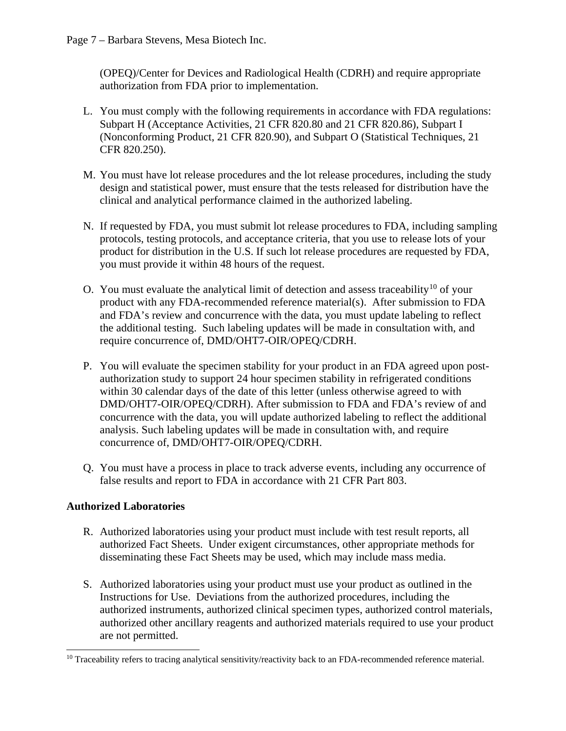(OPEQ)/Center for Devices and Radiological Health (CDRH) and require appropriate authorization from FDA prior to implementation.

- L. You must comply with the following requirements in accordance with FDA regulations: Subpart H (Acceptance Activities, 21 CFR 820.80 and 21 CFR 820.86), Subpart I (Nonconforming Product, 21 CFR 820.90), and Subpart O (Statistical Techniques, 21 CFR 820.250).
- M. You must have lot release procedures and the lot release procedures, including the study design and statistical power, must ensure that the tests released for distribution have the clinical and analytical performance claimed in the authorized labeling.
- N. If requested by FDA, you must submit lot release procedures to FDA, including sampling protocols, testing protocols, and acceptance criteria, that you use to release lots of your product for distribution in the U.S. If such lot release procedures are requested by FDA, you must provide it within 48 hours of the request.
- O. You must evaluate the analytical limit of detection and assess traceability<sup>[10](#page-6-0)</sup> of your product with any FDA-recommended reference material(s). After submission to FDA and FDA's review and concurrence with the data, you must update labeling to reflect the additional testing. Such labeling updates will be made in consultation with, and require concurrence of, DMD/OHT7-OIR/OPEQ/CDRH.
- P. You will evaluate the specimen stability for your product in an FDA agreed upon postauthorization study to support 24 hour specimen stability in refrigerated conditions within 30 calendar days of the date of this letter (unless otherwise agreed to with DMD/OHT7-OIR/OPEQ/CDRH). After submission to FDA and FDA's review of and concurrence with the data, you will update authorized labeling to reflect the additional analysis. Such labeling updates will be made in consultation with, and require concurrence of, DMD/OHT7-OIR/OPEQ/CDRH.
- Q. You must have a process in place to track adverse events, including any occurrence of false results and report to FDA in accordance with 21 CFR Part 803.

# **Authorized Laboratories**

- R. Authorized laboratories using your product must include with test result reports, all authorized Fact Sheets. Under exigent circumstances, other appropriate methods for disseminating these Fact Sheets may be used, which may include mass media.
- S. Authorized laboratories using your product must use your product as outlined in the Instructions for Use. Deviations from the authorized procedures, including the authorized instruments, authorized clinical specimen types, authorized control materials, authorized other ancillary reagents and authorized materials required to use your product are not permitted.

<span id="page-6-0"></span><sup>&</sup>lt;sup>10</sup> Traceability refers to tracing analytical sensitivity/reactivity back to an FDA-recommended reference material.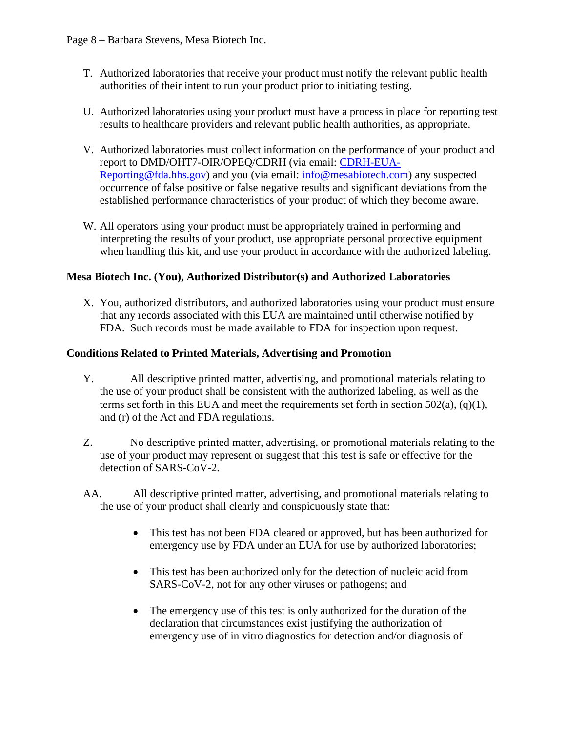- T. Authorized laboratories that receive your product must notify the relevant public health authorities of their intent to run your product prior to initiating testing.
- U. Authorized laboratories using your product must have a process in place for reporting test results to healthcare providers and relevant public health authorities, as appropriate.
- V. Authorized laboratories must collect information on the performance of your product and report to DMD/OHT7-OIR/OPEQ/CDRH (via email: [CDRH-EUA-](mailto:CDRH-EUA-Reporting@fda.hhs.gov)[Reporting@fda.hhs.gov\)](mailto:CDRH-EUA-Reporting@fda.hhs.gov) and you (via email: [info@mesabiotech.com\)](mailto:info@mesabiotech.com) any suspected occurrence of false positive or false negative results and significant deviations from the established performance characteristics of your product of which they become aware.
- W. All operators using your product must be appropriately trained in performing and interpreting the results of your product, use appropriate personal protective equipment when handling this kit, and use your product in accordance with the authorized labeling.

### **Mesa Biotech Inc. (You), Authorized Distributor(s) and Authorized Laboratories**

X. You, authorized distributors, and authorized laboratories using your product must ensure that any records associated with this EUA are maintained until otherwise notified by FDA. Such records must be made available to FDA for inspection upon request.

### **Conditions Related to Printed Materials, Advertising and Promotion**

- Y. All descriptive printed matter, advertising, and promotional materials relating to the use of your product shall be consistent with the authorized labeling, as well as the terms set forth in this EUA and meet the requirements set forth in section  $502(a)$ ,  $(q)(1)$ , and (r) of the Act and FDA regulations.
- Z. No descriptive printed matter, advertising, or promotional materials relating to the use of your product may represent or suggest that this test is safe or effective for the detection of SARS-CoV-2.
- AA. All descriptive printed matter, advertising, and promotional materials relating to the use of your product shall clearly and conspicuously state that:
	- This test has not been FDA cleared or approved, but has been authorized for emergency use by FDA under an EUA for use by authorized laboratories;
	- This test has been authorized only for the detection of nucleic acid from SARS-CoV-2, not for any other viruses or pathogens; and
	- The emergency use of this test is only authorized for the duration of the declaration that circumstances exist justifying the authorization of emergency use of in vitro diagnostics for detection and/or diagnosis of